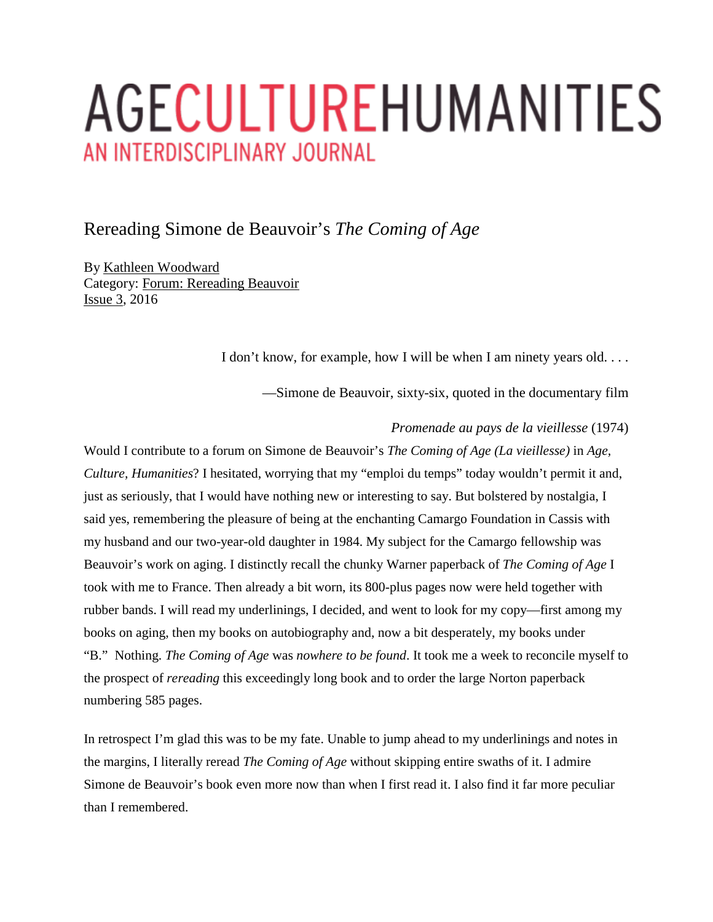# AGECULTUREHUMANITIES AN INTERDISCIPLINARY JOURNAL

## Rereading Simone de Beauvoir's *The Coming of Age*

By [Kathleen Woodward](https://ageculturehumanities.org/WP/rereading-simone-de-beauvoirs-the-coming-of-age/#author) Category: [Forum: Rereading Beauvoir](https://ageculturehumanities.org/WP/category/forum-rereading-beauvoir/) [Issue 3,](https://ageculturehumanities.org/WP/issue/issue-3/) 2016

I don't know, for example, how I will be when I am ninety years old. . . .

—Simone de Beauvoir, sixty-six, quoted in the documentary film

#### *Promenade au pays de la vieillesse* (1974)

Would I contribute to a forum on Simone de Beauvoir's *The Coming of Age (La vieillesse)* in *Age, Culture, Humanities*? I hesitated, worrying that my "emploi du temps" today wouldn't permit it and, just as seriously, that I would have nothing new or interesting to say. But bolstered by nostalgia, I said yes, remembering the pleasure of being at the enchanting Camargo Foundation in Cassis with my husband and our two-year-old daughter in 1984. My subject for the Camargo fellowship was Beauvoir's work on aging. I distinctly recall the chunky Warner paperback of *The Coming of Age* I took with me to France. Then already a bit worn, its 800-plus pages now were held together with rubber bands. I will read my underlinings, I decided, and went to look for my copy—first among my books on aging, then my books on autobiography and, now a bit desperately, my books under "B." Nothing. *The Coming of Age* was *nowhere to be found*. It took me a week to reconcile myself to the prospect of *rereading* this exceedingly long book and to order the large Norton paperback numbering 585 pages.

In retrospect I'm glad this was to be my fate. Unable to jump ahead to my underlinings and notes in the margins, I literally reread *The Coming of Age* without skipping entire swaths of it. I admire Simone de Beauvoir's book even more now than when I first read it. I also find it far more peculiar than I remembered.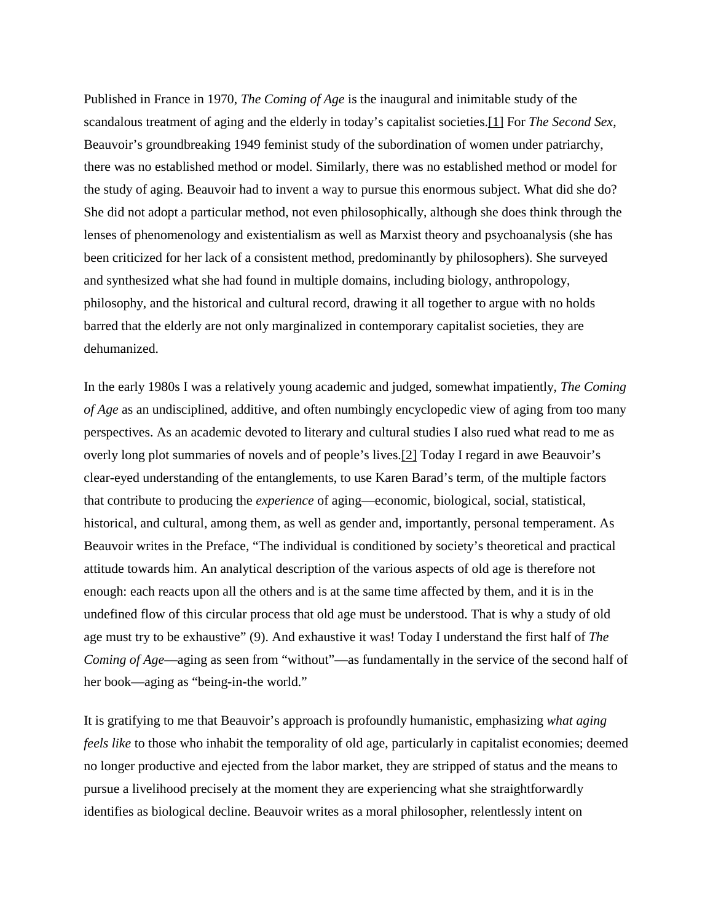Published in France in 1970, *The Coming of Age* is the inaugural and inimitable study of the scandalous treatment of aging and the elderly in today's capitalist societies[.\[1\]](https://ageculturehumanities.org/WP/rereading-simone-de-beauvoirs-the-coming-of-age/#_edn1) For *The Second Sex*, Beauvoir's groundbreaking 1949 feminist study of the subordination of women under patriarchy, there was no established method or model. Similarly, there was no established method or model for the study of aging. Beauvoir had to invent a way to pursue this enormous subject. What did she do? She did not adopt a particular method, not even philosophically, although she does think through the lenses of phenomenology and existentialism as well as Marxist theory and psychoanalysis (she has been criticized for her lack of a consistent method, predominantly by philosophers). She surveyed and synthesized what she had found in multiple domains, including biology, anthropology, philosophy, and the historical and cultural record, drawing it all together to argue with no holds barred that the elderly are not only marginalized in contemporary capitalist societies, they are dehumanized.

In the early 1980s I was a relatively young academic and judged, somewhat impatiently, *The Coming of Age* as an undisciplined, additive, and often numbingly encyclopedic view of aging from too many perspectives. As an academic devoted to literary and cultural studies I also rued what read to me as overly long plot summaries of novels and of people's lives[.\[2\]](https://ageculturehumanities.org/WP/rereading-simone-de-beauvoirs-the-coming-of-age/#_edn2) Today I regard in awe Beauvoir's clear-eyed understanding of the entanglements, to use Karen Barad's term, of the multiple factors that contribute to producing the *experience* of aging—economic, biological, social, statistical, historical, and cultural, among them, as well as gender and, importantly, personal temperament. As Beauvoir writes in the Preface, "The individual is conditioned by society's theoretical and practical attitude towards him. An analytical description of the various aspects of old age is therefore not enough: each reacts upon all the others and is at the same time affected by them, and it is in the undefined flow of this circular process that old age must be understood. That is why a study of old age must try to be exhaustive" (9). And exhaustive it was! Today I understand the first half of *The Coming of Age*—aging as seen from "without"—as fundamentally in the service of the second half of her book—aging as "being-in-the world."

It is gratifying to me that Beauvoir's approach is profoundly humanistic, emphasizing *what aging feels like* to those who inhabit the temporality of old age, particularly in capitalist economies; deemed no longer productive and ejected from the labor market, they are stripped of status and the means to pursue a livelihood precisely at the moment they are experiencing what she straightforwardly identifies as biological decline. Beauvoir writes as a moral philosopher, relentlessly intent on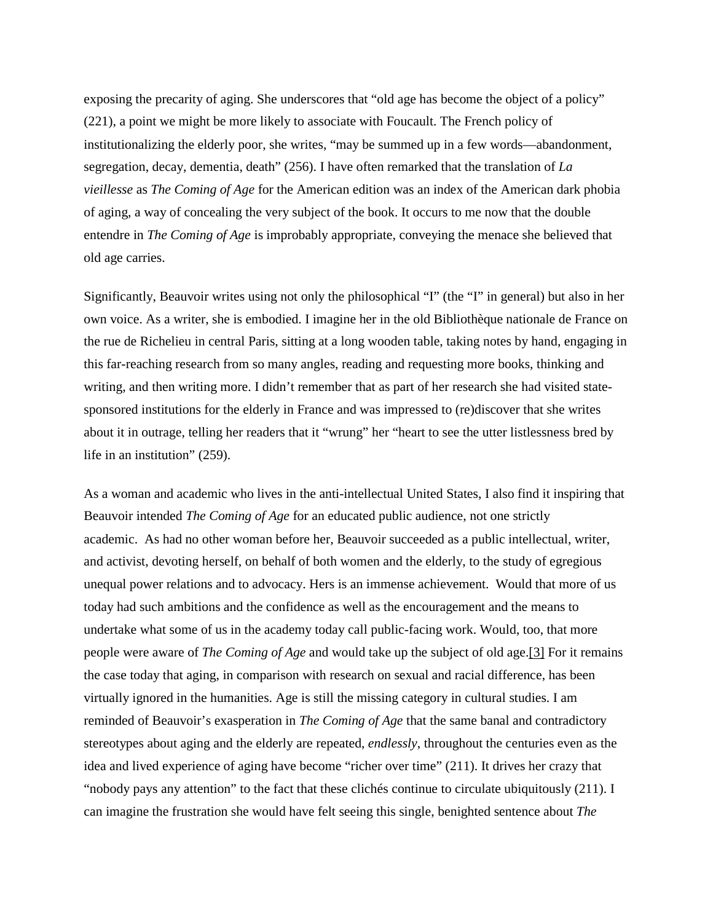exposing the precarity of aging. She underscores that "old age has become the object of a policy" (221), a point we might be more likely to associate with Foucault. The French policy of institutionalizing the elderly poor, she writes, "may be summed up in a few words—abandonment, segregation, decay, dementia, death" (256). I have often remarked that the translation of *La vieillesse* as *The Coming of Age* for the American edition was an index of the American dark phobia of aging, a way of concealing the very subject of the book. It occurs to me now that the double entendre in *The Coming of Age* is improbably appropriate, conveying the menace she believed that old age carries.

Significantly, Beauvoir writes using not only the philosophical "I" (the "I" in general) but also in her own voice. As a writer, she is embodied. I imagine her in the old Bibliothèque nationale de France on the rue de Richelieu in central Paris, sitting at a long wooden table, taking notes by hand, engaging in this far-reaching research from so many angles, reading and requesting more books, thinking and writing, and then writing more. I didn't remember that as part of her research she had visited statesponsored institutions for the elderly in France and was impressed to (re)discover that she writes about it in outrage, telling her readers that it "wrung" her "heart to see the utter listlessness bred by life in an institution" (259).

As a woman and academic who lives in the anti-intellectual United States, I also find it inspiring that Beauvoir intended *The Coming of Age* for an educated public audience, not one strictly academic. As had no other woman before her, Beauvoir succeeded as a public intellectual, writer, and activist, devoting herself, on behalf of both women and the elderly, to the study of egregious unequal power relations and to advocacy. Hers is an immense achievement. Would that more of us today had such ambitions and the confidence as well as the encouragement and the means to undertake what some of us in the academy today call public-facing work. Would, too, that more people were aware of *The Coming of Age* and would take up the subject of old age[.\[3\]](https://ageculturehumanities.org/WP/rereading-simone-de-beauvoirs-the-coming-of-age/#_edn3) For it remains the case today that aging, in comparison with research on sexual and racial difference, has been virtually ignored in the humanities. Age is still the missing category in cultural studies. I am reminded of Beauvoir's exasperation in *The Coming of Age* that the same banal and contradictory stereotypes about aging and the elderly are repeated, *endlessly*, throughout the centuries even as the idea and lived experience of aging have become "richer over time" (211). It drives her crazy that "nobody pays any attention" to the fact that these clichés continue to circulate ubiquitously (211). I can imagine the frustration she would have felt seeing this single, benighted sentence about *The*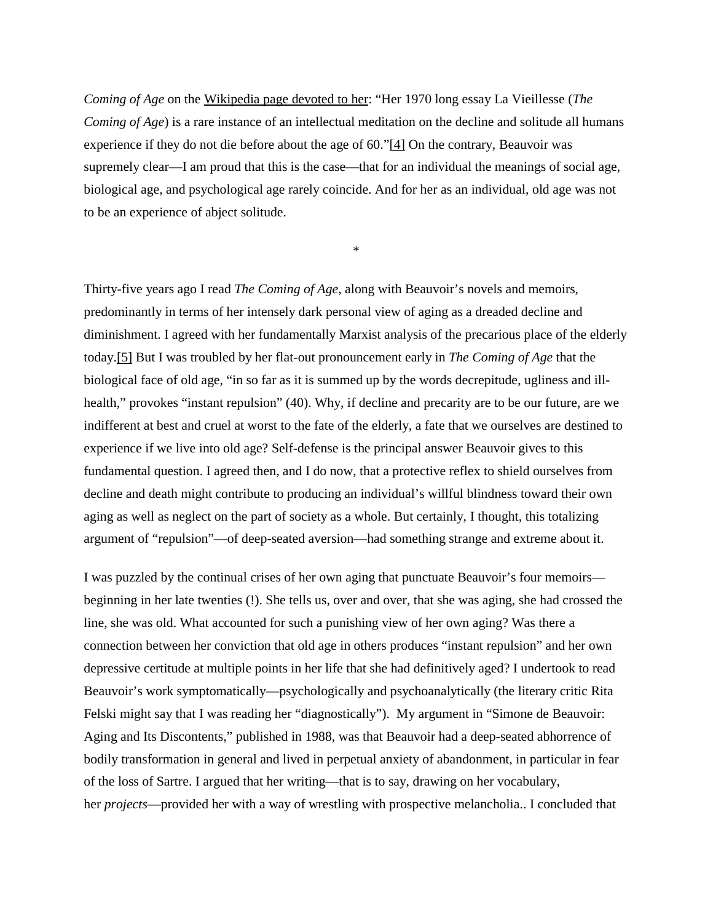*Coming of Age* on the [Wikipedia page devoted to her:](https://en.wikipedia.org/wiki/Simone_de_Beauvoir) "Her 1970 long essay La Vieillesse (*The Coming of Age*) is a rare instance of an intellectual meditation on the decline and solitude all humans experience if they do not die before about the age of 60.["\[4\]](https://ageculturehumanities.org/WP/rereading-simone-de-beauvoirs-the-coming-of-age/#_edn4) On the contrary, Beauvoir was supremely clear—I am proud that this is the case—that for an individual the meanings of social age, biological age, and psychological age rarely coincide. And for her as an individual, old age was not to be an experience of abject solitude.

\*

Thirty-five years ago I read *The Coming of Age*, along with Beauvoir's novels and memoirs, predominantly in terms of her intensely dark personal view of aging as a dreaded decline and diminishment. I agreed with her fundamentally Marxist analysis of the precarious place of the elderly today[.\[5\]](https://ageculturehumanities.org/WP/rereading-simone-de-beauvoirs-the-coming-of-age/#_edn5) But I was troubled by her flat-out pronouncement early in *The Coming of Age* that the biological face of old age, "in so far as it is summed up by the words decrepitude, ugliness and illhealth," provokes "instant repulsion" (40). Why, if decline and precarity are to be our future, are we indifferent at best and cruel at worst to the fate of the elderly, a fate that we ourselves are destined to experience if we live into old age? Self-defense is the principal answer Beauvoir gives to this fundamental question. I agreed then, and I do now, that a protective reflex to shield ourselves from decline and death might contribute to producing an individual's willful blindness toward their own aging as well as neglect on the part of society as a whole. But certainly, I thought, this totalizing argument of "repulsion"—of deep-seated aversion—had something strange and extreme about it.

I was puzzled by the continual crises of her own aging that punctuate Beauvoir's four memoirs beginning in her late twenties (!). She tells us, over and over, that she was aging, she had crossed the line, she was old. What accounted for such a punishing view of her own aging? Was there a connection between her conviction that old age in others produces "instant repulsion" and her own depressive certitude at multiple points in her life that she had definitively aged? I undertook to read Beauvoir's work symptomatically—psychologically and psychoanalytically (the literary critic Rita Felski might say that I was reading her "diagnostically"). My argument in "Simone de Beauvoir: Aging and Its Discontents," published in 1988, was that Beauvoir had a deep-seated abhorrence of bodily transformation in general and lived in perpetual anxiety of abandonment, in particular in fear of the loss of Sartre. I argued that her writing—that is to say, drawing on her vocabulary, her *projects*—provided her with a way of wrestling with prospective melancholia.. I concluded that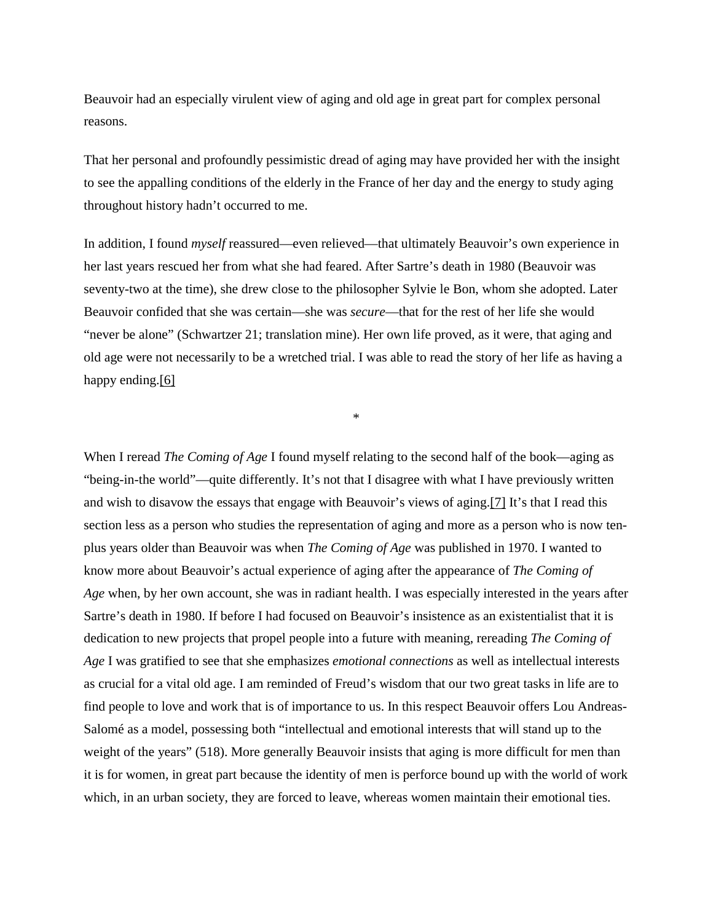Beauvoir had an especially virulent view of aging and old age in great part for complex personal reasons.

That her personal and profoundly pessimistic dread of aging may have provided her with the insight to see the appalling conditions of the elderly in the France of her day and the energy to study aging throughout history hadn't occurred to me.

In addition, I found *myself* reassured—even relieved—that ultimately Beauvoir's own experience in her last years rescued her from what she had feared. After Sartre's death in 1980 (Beauvoir was seventy-two at the time), she drew close to the philosopher Sylvie le Bon, whom she adopted. Later Beauvoir confided that she was certain—she was *secure*—that for the rest of her life she would "never be alone" (Schwartzer 21; translation mine). Her own life proved, as it were, that aging and old age were not necessarily to be a wretched trial. I was able to read the story of her life as having a happy ending.<sup>[6]</sup>

\*

When I reread *The Coming of Age* I found myself relating to the second half of the book—aging as "being-in-the world"—quite differently. It's not that I disagree with what I have previously written and wish to disavow the essays that engage with Beauvoir's views of aging[.\[7\]](https://ageculturehumanities.org/WP/rereading-simone-de-beauvoirs-the-coming-of-age/#_edn7) It's that I read this section less as a person who studies the representation of aging and more as a person who is now tenplus years older than Beauvoir was when *The Coming of Age* was published in 1970. I wanted to know more about Beauvoir's actual experience of aging after the appearance of *The Coming of Age* when, by her own account, she was in radiant health. I was especially interested in the years after Sartre's death in 1980. If before I had focused on Beauvoir's insistence as an existentialist that it is dedication to new projects that propel people into a future with meaning, rereading *The Coming of Age* I was gratified to see that she emphasizes *emotional connections* as well as intellectual interests as crucial for a vital old age. I am reminded of Freud's wisdom that our two great tasks in life are to find people to love and work that is of importance to us. In this respect Beauvoir offers Lou Andreas-Salomé as a model, possessing both "intellectual and emotional interests that will stand up to the weight of the years" (518). More generally Beauvoir insists that aging is more difficult for men than it is for women, in great part because the identity of men is perforce bound up with the world of work which, in an urban society, they are forced to leave, whereas women maintain their emotional ties.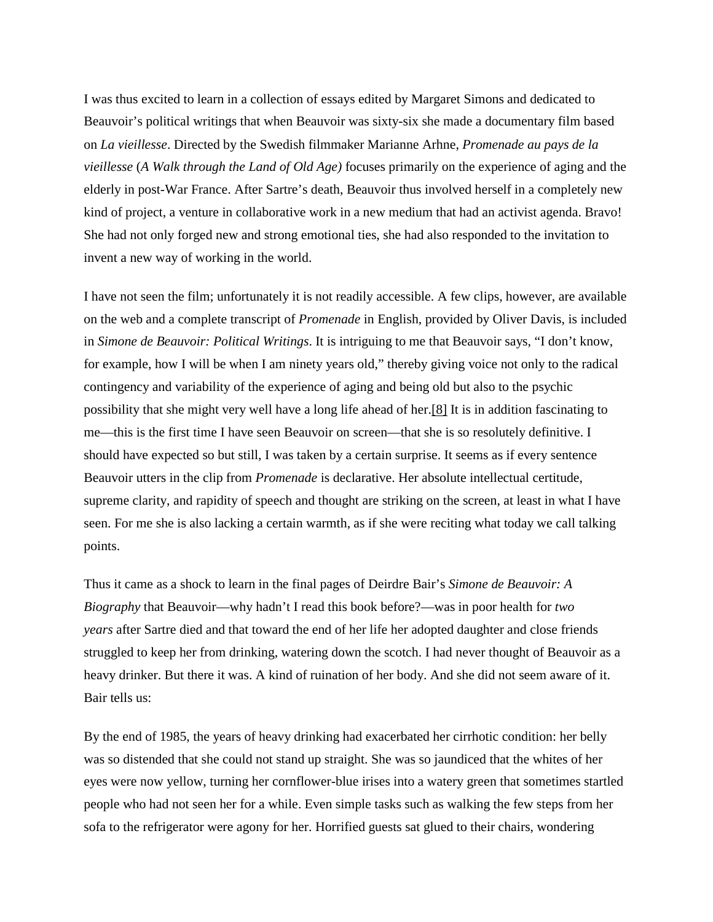I was thus excited to learn in a collection of essays edited by Margaret Simons and dedicated to Beauvoir's political writings that when Beauvoir was sixty-six she made a documentary film based on *La vieillesse*. Directed by the Swedish filmmaker Marianne Arhne, *Promenade au pays de la vieillesse* (*A Walk through the Land of Old Age)* focuses primarily on the experience of aging and the elderly in post-War France. After Sartre's death, Beauvoir thus involved herself in a completely new kind of project, a venture in collaborative work in a new medium that had an activist agenda. Bravo! She had not only forged new and strong emotional ties, she had also responded to the invitation to invent a new way of working in the world.

I have not seen the film; unfortunately it is not readily accessible. A few clips, however, are available on the web and a complete transcript of *Promenade* in English, provided by Oliver Davis, is included in *Simone de Beauvoir: Political Writings*. It is intriguing to me that Beauvoir says, "I don't know, for example, how I will be when I am ninety years old," thereby giving voice not only to the radical contingency and variability of the experience of aging and being old but also to the psychic possibility that she might very well have a long life ahead of her[.\[8\]](https://ageculturehumanities.org/WP/rereading-simone-de-beauvoirs-the-coming-of-age/#_edn8) It is in addition fascinating to me—this is the first time I have seen Beauvoir on screen—that she is so resolutely definitive. I should have expected so but still, I was taken by a certain surprise. It seems as if every sentence Beauvoir utters in the clip from *Promenade* is declarative. Her absolute intellectual certitude, supreme clarity, and rapidity of speech and thought are striking on the screen, at least in what I have seen. For me she is also lacking a certain warmth, as if she were reciting what today we call talking points.

Thus it came as a shock to learn in the final pages of Deirdre Bair's *Simone de Beauvoir: A Biography* that Beauvoir—why hadn't I read this book before?—was in poor health for *two years* after Sartre died and that toward the end of her life her adopted daughter and close friends struggled to keep her from drinking, watering down the scotch. I had never thought of Beauvoir as a heavy drinker. But there it was. A kind of ruination of her body. And she did not seem aware of it. Bair tells us:

By the end of 1985, the years of heavy drinking had exacerbated her cirrhotic condition: her belly was so distended that she could not stand up straight. She was so jaundiced that the whites of her eyes were now yellow, turning her cornflower-blue irises into a watery green that sometimes startled people who had not seen her for a while. Even simple tasks such as walking the few steps from her sofa to the refrigerator were agony for her. Horrified guests sat glued to their chairs, wondering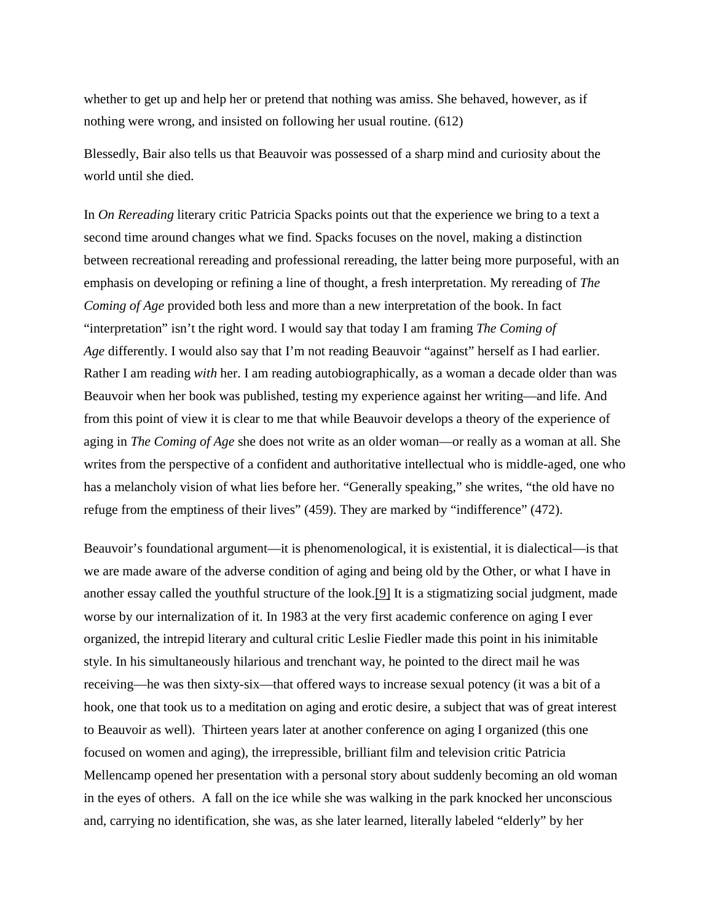whether to get up and help her or pretend that nothing was amiss. She behaved, however, as if nothing were wrong, and insisted on following her usual routine. (612)

Blessedly, Bair also tells us that Beauvoir was possessed of a sharp mind and curiosity about the world until she died.

In *On Rereading* literary critic Patricia Spacks points out that the experience we bring to a text a second time around changes what we find. Spacks focuses on the novel, making a distinction between recreational rereading and professional rereading, the latter being more purposeful, with an emphasis on developing or refining a line of thought, a fresh interpretation. My rereading of *The Coming of Age* provided both less and more than a new interpretation of the book. In fact "interpretation" isn't the right word. I would say that today I am framing *The Coming of Age* differently. I would also say that I'm not reading Beauvoir "against" herself as I had earlier. Rather I am reading *with* her. I am reading autobiographically, as a woman a decade older than was Beauvoir when her book was published, testing my experience against her writing—and life. And from this point of view it is clear to me that while Beauvoir develops a theory of the experience of aging in *The Coming of Age* she does not write as an older woman—or really as a woman at all. She writes from the perspective of a confident and authoritative intellectual who is middle-aged, one who has a melancholy vision of what lies before her. "Generally speaking," she writes, "the old have no refuge from the emptiness of their lives" (459). They are marked by "indifference" (472).

Beauvoir's foundational argument—it is phenomenological, it is existential, it is dialectical—is that we are made aware of the adverse condition of aging and being old by the Other, or what I have in another essay called the youthful structure of the look[.\[9\]](https://ageculturehumanities.org/WP/rereading-simone-de-beauvoirs-the-coming-of-age/#_edn9) It is a stigmatizing social judgment, made worse by our internalization of it. In 1983 at the very first academic conference on aging I ever organized, the intrepid literary and cultural critic Leslie Fiedler made this point in his inimitable style. In his simultaneously hilarious and trenchant way, he pointed to the direct mail he was receiving—he was then sixty-six—that offered ways to increase sexual potency (it was a bit of a hook, one that took us to a meditation on aging and erotic desire, a subject that was of great interest to Beauvoir as well). Thirteen years later at another conference on aging I organized (this one focused on women and aging), the irrepressible, brilliant film and television critic Patricia Mellencamp opened her presentation with a personal story about suddenly becoming an old woman in the eyes of others. A fall on the ice while she was walking in the park knocked her unconscious and, carrying no identification, she was, as she later learned, literally labeled "elderly" by her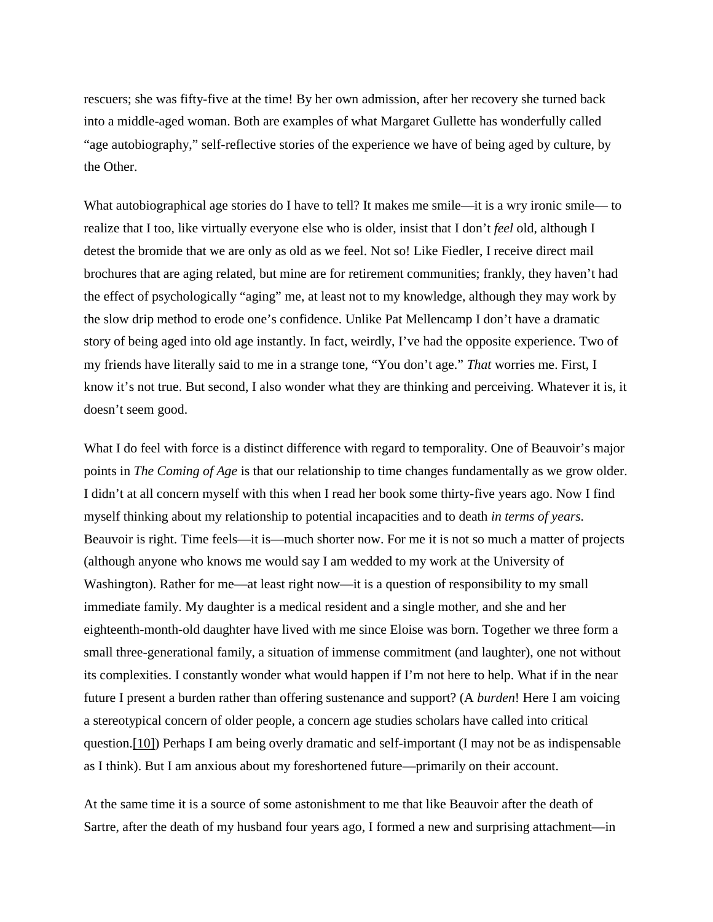rescuers; she was fifty-five at the time! By her own admission, after her recovery she turned back into a middle-aged woman. Both are examples of what Margaret Gullette has wonderfully called "age autobiography," self-reflective stories of the experience we have of being aged by culture, by the Other.

What autobiographical age stories do I have to tell? It makes me smile—it is a wry ironic smile— to realize that I too, like virtually everyone else who is older, insist that I don't *feel* old, although I detest the bromide that we are only as old as we feel. Not so! Like Fiedler, I receive direct mail brochures that are aging related, but mine are for retirement communities; frankly, they haven't had the effect of psychologically "aging" me, at least not to my knowledge, although they may work by the slow drip method to erode one's confidence. Unlike Pat Mellencamp I don't have a dramatic story of being aged into old age instantly. In fact, weirdly, I've had the opposite experience. Two of my friends have literally said to me in a strange tone, "You don't age." *That* worries me. First, I know it's not true. But second, I also wonder what they are thinking and perceiving. Whatever it is, it doesn't seem good.

What I do feel with force is a distinct difference with regard to temporality. One of Beauvoir's major points in *The Coming of Age* is that our relationship to time changes fundamentally as we grow older. I didn't at all concern myself with this when I read her book some thirty-five years ago. Now I find myself thinking about my relationship to potential incapacities and to death *in terms of years*. Beauvoir is right. Time feels—it is—much shorter now. For me it is not so much a matter of projects (although anyone who knows me would say I am wedded to my work at the University of Washington). Rather for me—at least right now—it is a question of responsibility to my small immediate family. My daughter is a medical resident and a single mother, and she and her eighteenth-month-old daughter have lived with me since Eloise was born. Together we three form a small three-generational family, a situation of immense commitment (and laughter), one not without its complexities. I constantly wonder what would happen if I'm not here to help. What if in the near future I present a burden rather than offering sustenance and support? (A *burden*! Here I am voicing a stereotypical concern of older people, a concern age studies scholars have called into critical question[.\[10\]\)](https://ageculturehumanities.org/WP/rereading-simone-de-beauvoirs-the-coming-of-age/#_edn10) Perhaps I am being overly dramatic and self-important (I may not be as indispensable as I think). But I am anxious about my foreshortened future—primarily on their account.

At the same time it is a source of some astonishment to me that like Beauvoir after the death of Sartre, after the death of my husband four years ago, I formed a new and surprising attachment—in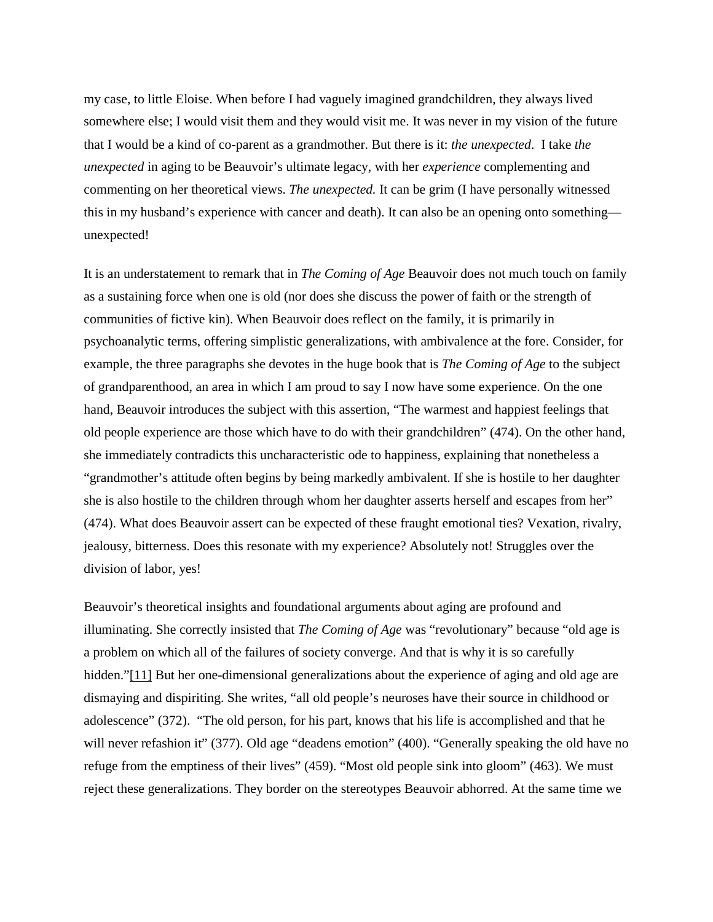my case, to little Eloise. When before I had vaguely imagined grandchildren, they always lived somewhere else; I would visit them and they would visit me. It was never in my vision of the future that I would be a kind of co-parent as a grandmother. But there is it: *the unexpected*. I take *the unexpected* in aging to be Beauvoir's ultimate legacy, with her *experience* complementing and commenting on her theoretical views. *The unexpected.* It can be grim (I have personally witnessed this in my husband's experience with cancer and death). It can also be an opening onto something unexpected!

It is an understatement to remark that in *The Coming of Age* Beauvoir does not much touch on family as a sustaining force when one is old (nor does she discuss the power of faith or the strength of communities of fictive kin). When Beauvoir does reflect on the family, it is primarily in psychoanalytic terms, offering simplistic generalizations, with ambivalence at the fore. Consider, for example, the three paragraphs she devotes in the huge book that is *The Coming of Age* to the subject of grandparenthood, an area in which I am proud to say I now have some experience. On the one hand, Beauvoir introduces the subject with this assertion, "The warmest and happiest feelings that old people experience are those which have to do with their grandchildren" (474). On the other hand, she immediately contradicts this uncharacteristic ode to happiness, explaining that nonetheless a "grandmother's attitude often begins by being markedly ambivalent. If she is hostile to her daughter she is also hostile to the children through whom her daughter asserts herself and escapes from her" (474). What does Beauvoir assert can be expected of these fraught emotional ties? Vexation, rivalry, jealousy, bitterness. Does this resonate with my experience? Absolutely not! Struggles over the division of labor, yes!

Beauvoir's theoretical insights and foundational arguments about aging are profound and illuminating. She correctly insisted that *The Coming of Age* was "revolutionary" because "old age is a problem on which all of the failures of society converge. And that is why it is so carefully hidden.["\[11\]](https://ageculturehumanities.org/WP/rereading-simone-de-beauvoirs-the-coming-of-age/#_edn11) But her one-dimensional generalizations about the experience of aging and old age are dismaying and dispiriting. She writes, "all old people's neuroses have their source in childhood or adolescence" (372). "The old person, for his part, knows that his life is accomplished and that he will never refashion it" (377). Old age "deadens emotion" (400). "Generally speaking the old have no refuge from the emptiness of their lives" (459). "Most old people sink into gloom" (463). We must reject these generalizations. They border on the stereotypes Beauvoir abhorred. At the same time we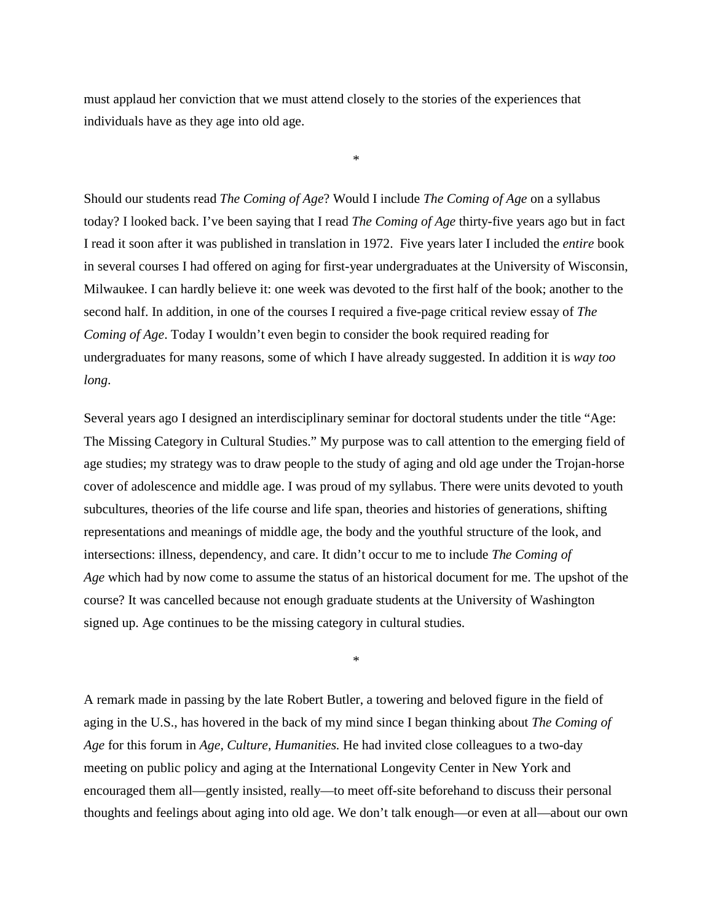must applaud her conviction that we must attend closely to the stories of the experiences that individuals have as they age into old age.

\*

Should our students read *The Coming of Age*? Would I include *The Coming of Age* on a syllabus today? I looked back. I've been saying that I read *The Coming of Age* thirty-five years ago but in fact I read it soon after it was published in translation in 1972. Five years later I included the *entire* book in several courses I had offered on aging for first-year undergraduates at the University of Wisconsin, Milwaukee. I can hardly believe it: one week was devoted to the first half of the book; another to the second half. In addition, in one of the courses I required a five-page critical review essay of *The Coming of Age*. Today I wouldn't even begin to consider the book required reading for undergraduates for many reasons, some of which I have already suggested. In addition it is *way too long*.

Several years ago I designed an interdisciplinary seminar for doctoral students under the title "Age: The Missing Category in Cultural Studies." My purpose was to call attention to the emerging field of age studies; my strategy was to draw people to the study of aging and old age under the Trojan-horse cover of adolescence and middle age. I was proud of my syllabus. There were units devoted to youth subcultures, theories of the life course and life span, theories and histories of generations, shifting representations and meanings of middle age, the body and the youthful structure of the look, and intersections: illness, dependency, and care. It didn't occur to me to include *The Coming of Age* which had by now come to assume the status of an historical document for me. The upshot of the course? It was cancelled because not enough graduate students at the University of Washington signed up. Age continues to be the missing category in cultural studies.

A remark made in passing by the late Robert Butler, a towering and beloved figure in the field of aging in the U.S., has hovered in the back of my mind since I began thinking about *The Coming of Age* for this forum in *Age, Culture, Humanities.* He had invited close colleagues to a two-day meeting on public policy and aging at the International Longevity Center in New York and encouraged them all—gently insisted, really—to meet off-site beforehand to discuss their personal thoughts and feelings about aging into old age. We don't talk enough—or even at all—about our own

\*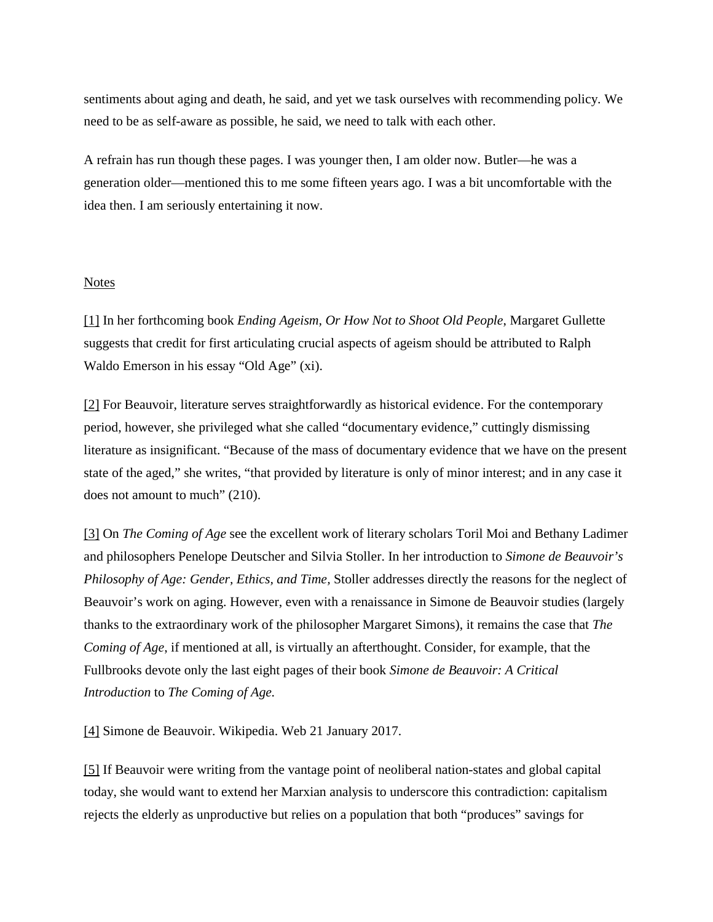sentiments about aging and death, he said, and yet we task ourselves with recommending policy. We need to be as self-aware as possible, he said, we need to talk with each other.

A refrain has run though these pages. I was younger then, I am older now. Butler—he was a generation older—mentioned this to me some fifteen years ago. I was a bit uncomfortable with the idea then. I am seriously entertaining it now.

#### Notes

[\[1\]](https://ageculturehumanities.org/WP/rereading-simone-de-beauvoirs-the-coming-of-age/#_ednref1) In her forthcoming book *Ending Ageism, Or How Not to Shoot Old People*, Margaret Gullette suggests that credit for first articulating crucial aspects of ageism should be attributed to Ralph Waldo Emerson in his essay "Old Age" (xi).

[\[2\]](https://ageculturehumanities.org/WP/rereading-simone-de-beauvoirs-the-coming-of-age/#_ednref2) For Beauvoir, literature serves straightforwardly as historical evidence. For the contemporary period, however, she privileged what she called "documentary evidence," cuttingly dismissing literature as insignificant. "Because of the mass of documentary evidence that we have on the present state of the aged," she writes, "that provided by literature is only of minor interest; and in any case it does not amount to much" (210).

[\[3\]](https://ageculturehumanities.org/WP/rereading-simone-de-beauvoirs-the-coming-of-age/#_ednref3) On *The Coming of Age* see the excellent work of literary scholars Toril Moi and Bethany Ladimer and philosophers Penelope Deutscher and Silvia Stoller. In her introduction to *Simone de Beauvoir's Philosophy of Age: Gender, Ethics, and Time,* Stoller addresses directly the reasons for the neglect of Beauvoir's work on aging. However, even with a renaissance in Simone de Beauvoir studies (largely thanks to the extraordinary work of the philosopher Margaret Simons), it remains the case that *The Coming of Age*, if mentioned at all, is virtually an afterthought. Consider, for example, that the Fullbrooks devote only the last eight pages of their book *Simone de Beauvoir: A Critical Introduction* to *The Coming of Age.*

[\[4\]](https://ageculturehumanities.org/WP/rereading-simone-de-beauvoirs-the-coming-of-age/#_ednref4) Simone de Beauvoir. Wikipedia. Web 21 January 2017.

[\[5\]](https://ageculturehumanities.org/WP/rereading-simone-de-beauvoirs-the-coming-of-age/#_ednref5) If Beauvoir were writing from the vantage point of neoliberal nation-states and global capital today, she would want to extend her Marxian analysis to underscore this contradiction: capitalism rejects the elderly as unproductive but relies on a population that both "produces" savings for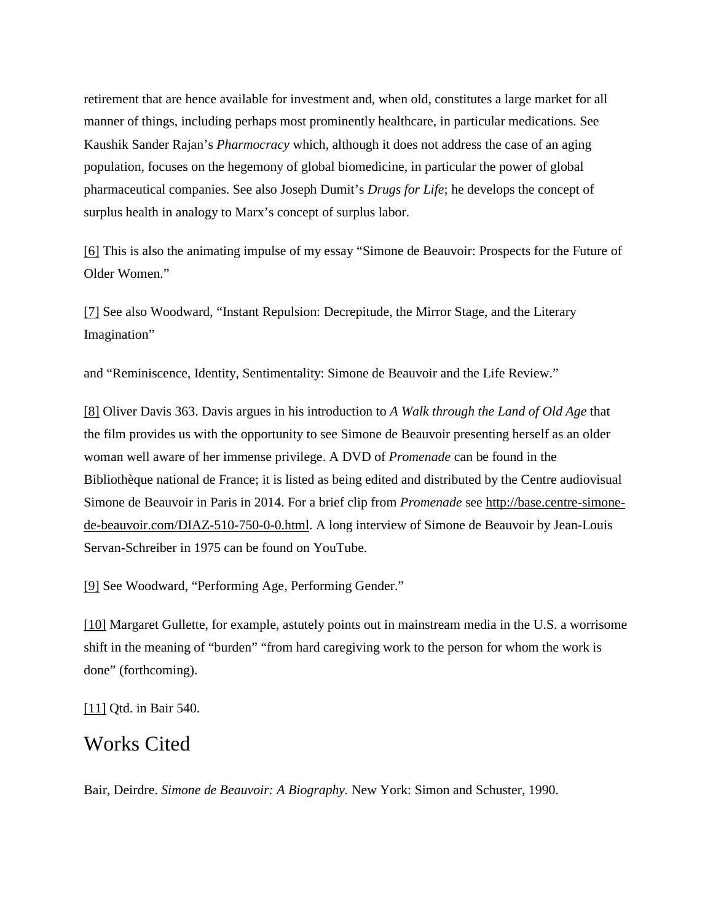retirement that are hence available for investment and, when old, constitutes a large market for all manner of things, including perhaps most prominently healthcare, in particular medications. See Kaushik Sander Rajan's *Pharmocracy* which, although it does not address the case of an aging population, focuses on the hegemony of global biomedicine, in particular the power of global pharmaceutical companies. See also Joseph Dumit's *Drugs for Life*; he develops the concept of surplus health in analogy to Marx's concept of surplus labor.

[\[6\]](https://ageculturehumanities.org/WP/rereading-simone-de-beauvoirs-the-coming-of-age/#_ednref6) This is also the animating impulse of my essay "Simone de Beauvoir: Prospects for the Future of Older Women."

[\[7\]](https://ageculturehumanities.org/WP/rereading-simone-de-beauvoirs-the-coming-of-age/#_ednref7) See also Woodward, "Instant Repulsion: Decrepitude, the Mirror Stage, and the Literary Imagination"

and "Reminiscence, Identity, Sentimentality: Simone de Beauvoir and the Life Review."

[\[8\]](https://ageculturehumanities.org/WP/rereading-simone-de-beauvoirs-the-coming-of-age/#_ednref8) Oliver Davis 363. Davis argues in his introduction to *A Walk through the Land of Old Age* that the film provides us with the opportunity to see Simone de Beauvoir presenting herself as an older woman well aware of her immense privilege. A DVD of *Promenade* can be found in the Bibliothèque national de France; it is listed as being edited and distributed by the Centre audiovisual Simone de Beauvoir in Paris in 2014. For a brief clip from *Promenade* see [http://base.centre-simone](http://base.centre-simone-de-beauvoir.com/DIAZ-510-750-0-0.html)[de-beauvoir.com/DIAZ-510-750-0-0.html.](http://base.centre-simone-de-beauvoir.com/DIAZ-510-750-0-0.html) A long interview of Simone de Beauvoir by Jean-Louis Servan-Schreiber in 1975 can be found on YouTube.

[\[9\]](https://ageculturehumanities.org/WP/rereading-simone-de-beauvoirs-the-coming-of-age/#_ednref9) See Woodward, "Performing Age, Performing Gender."

[\[10\]](https://ageculturehumanities.org/WP/rereading-simone-de-beauvoirs-the-coming-of-age/#_ednref10) Margaret Gullette, for example, astutely points out in mainstream media in the U.S. a worrisome shift in the meaning of "burden" "from hard caregiving work to the person for whom the work is done" (forthcoming).

[\[11\]](https://ageculturehumanities.org/WP/rereading-simone-de-beauvoirs-the-coming-of-age/#_ednref11) Qtd. in Bair 540.

### Works Cited

Bair, Deirdre. *Simone de Beauvoir: A Biography.* New York: Simon and Schuster, 1990.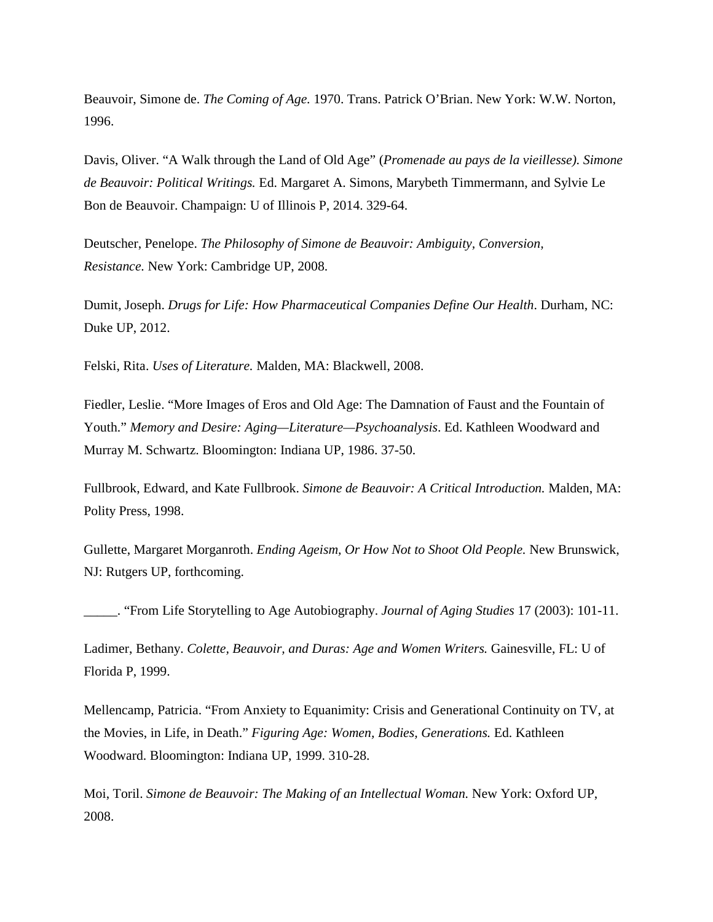Beauvoir, Simone de. *The Coming of Age.* 1970. Trans. Patrick O'Brian. New York: W.W. Norton, 1996.

Davis, Oliver. "A Walk through the Land of Old Age" (*Promenade au pays de la vieillesse). Simone de Beauvoir: Political Writings.* Ed. Margaret A. Simons, Marybeth Timmermann, and Sylvie Le Bon de Beauvoir. Champaign: U of Illinois P, 2014. 329-64.

Deutscher, Penelope. *The Philosophy of Simone de Beauvoir: Ambiguity, Conversion, Resistance.* New York: Cambridge UP, 2008.

Dumit, Joseph. *Drugs for Life: How Pharmaceutical Companies Define Our Health*. Durham, NC: Duke UP, 2012.

Felski, Rita. *Uses of Literature.* Malden, MA: Blackwell, 2008.

Fiedler, Leslie. "More Images of Eros and Old Age: The Damnation of Faust and the Fountain of Youth." *Memory and Desire: Aging—Literature—Psychoanalysis*. Ed. Kathleen Woodward and Murray M. Schwartz. Bloomington: Indiana UP, 1986. 37-50.

Fullbrook, Edward, and Kate Fullbrook. *Simone de Beauvoir: A Critical Introduction.* Malden, MA: Polity Press, 1998.

Gullette, Margaret Morganroth. *Ending Ageism, Or How Not to Shoot Old People.* New Brunswick, NJ: Rutgers UP, forthcoming.

\_\_\_\_\_. "From Life Storytelling to Age Autobiography. *Journal of Aging Studies* 17 (2003): 101-11.

Ladimer, Bethany. *Colette, Beauvoir, and Duras: Age and Women Writers.* Gainesville, FL: U of Florida P, 1999.

Mellencamp, Patricia. "From Anxiety to Equanimity: Crisis and Generational Continuity on TV, at the Movies, in Life, in Death." *Figuring Age: Women, Bodies, Generations.* Ed. Kathleen Woodward. Bloomington: Indiana UP, 1999. 310-28.

Moi, Toril. *Simone de Beauvoir: The Making of an Intellectual Woman.* New York: Oxford UP, 2008.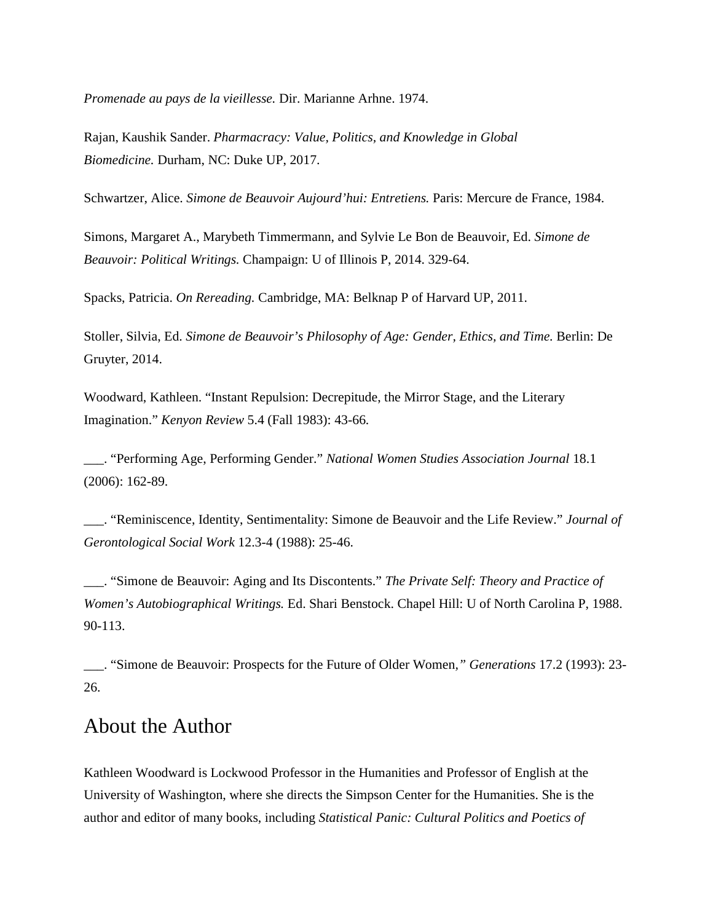*Promenade au pays de la vieillesse.* Dir. Marianne Arhne. 1974.

Rajan, Kaushik Sander. *Pharmacracy: Value, Politics, and Knowledge in Global Biomedicine.* Durham, NC: Duke UP, 2017.

Schwartzer, Alice. *Simone de Beauvoir Aujourd'hui: Entretiens.* Paris: Mercure de France, 1984.

Simons, Margaret A., Marybeth Timmermann, and Sylvie Le Bon de Beauvoir, Ed. *Simone de Beauvoir: Political Writings.* Champaign: U of Illinois P, 2014. 329-64.

Spacks, Patricia. *On Rereading.* Cambridge, MA: Belknap P of Harvard UP, 2011.

Stoller, Silvia, Ed. *Simone de Beauvoir's Philosophy of Age: Gender, Ethics, and Time.* Berlin: De Gruyter, 2014.

Woodward, Kathleen. "Instant Repulsion: Decrepitude, the Mirror Stage, and the Literary Imagination." *Kenyon Review* 5.4 (Fall 1983): 43-66.

\_\_\_. "Performing Age, Performing Gender." *National Women Studies Association Journal* 18.1 (2006): 162-89.

\_\_\_. "Reminiscence, Identity, Sentimentality: Simone de Beauvoir and the Life Review." *Journal of Gerontological Social Work* 12.3-4 (1988): 25-46.

\_\_\_. "Simone de Beauvoir: Aging and Its Discontents." *The Private Self: Theory and Practice of Women's Autobiographical Writings.* Ed. Shari Benstock. Chapel Hill: U of North Carolina P, 1988. 90-113.

\_\_\_. "Simone de Beauvoir: Prospects for the Future of Older Women*," Generations* 17.2 (1993): 23- 26.

## About the Author

Kathleen Woodward is Lockwood Professor in the Humanities and Professor of English at the University of Washington, where she directs the Simpson Center for the Humanities. She is the author and editor of many books, including *Statistical Panic: Cultural Politics and Poetics of*